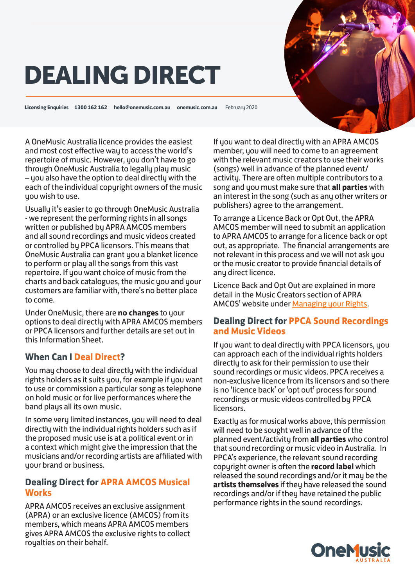# DEALING DIRECT

**Licensing Enquiries 1300 162 162 hello@onemusic.com.au onemusic.com.au** February 2020

A OneMusic Australia licence provides the easiest and most cost effective way to access the world's repertoire of music. However, you don't have to go through OneMusic Australia to legally play music – you also have the option to deal directly with the each of the individual copyright owners of the music you wish to use.

Usually it's easier to go through OneMusic Australia - we represent the performing rights in all songs written or published by APRA AMCOS members and all sound recordings and music videos created or controlled by PPCA licensors. This means that OneMusic Australia can grant you a blanket licence to perform or play all the songs from this vast repertoire. If you want choice of music from the charts and back catalogues, the music you and your customers are familiar with, there's no better place to come.

Under OneMusic, there are **no changes** to your options to deal directly with APRA AMCOS members or PPCA licensors and further details are set out in this Information Sheet.

### **When Can I Deal Direct?**

You may choose to deal directly with the individual rights holders as it suits you, for example if you want to use or commission a particular song as telephone on hold music or for live performances where the band plays all its own music.

In some very limited instances, you will need to deal directly with the individual rights holders such as if the proposed music use is at a political event or in a context which might give the impression that the musicians and/or recording artists are affiliated with your brand or business.

#### **Dealing Direct for APRA AMCOS Musical Works**

APRA AMCOS receives an exclusive assignment (APRA) or an exclusive licence (AMCOS) from its members, which means APRA AMCOS members gives APRA AMCOS the exclusive rights to collect royalties on their behalf.

If you want to deal directly with an APRA AMCOS member, you will need to come to an agreement with the relevant music creators to use their works (songs) well in advance of the planned event/ activity. There are often multiple contributors to a song and you must make sure that **all parties** with an interest in the song (such as any other writers or publishers) agree to the arrangement.

To arrange a Licence Back or Opt Out, the APRA AMCOS member will need to submit an application to APRA AMCOS to arrange for a licence back or opt out, as appropriate. The financial arrangements are not relevant in this process and we will not ask you or the music creator to provide financial details of any direct licence.

Licence Back and Opt Out are explained in more detail in the Music Creators section of APRA AMCOS' website under [Managing your Rights.](http://www.apraamcos.com.au/about-us/alternatives-to-apra-amcos/managing-your-rights/)

#### **Dealing Direct for PPCA Sound Recordings and Music Videos**

If you want to deal directly with PPCA licensors, you can approach each of the individual rights holders directly to ask for their permission to use their sound recordings or music videos. PPCA receives a non-exclusive licence from its licensors and so there is no 'licence back' or 'opt out' process for sound recordings or music videos controlled by PPCA licensors.

Exactly as for musical works above, this permission will need to be sought well in advance of the planned event/activity from **all parties** who control that sound recording or music video in Australia. In PPCA's experience, the relevant sound recording copyright owner is often the **record label** which released the sound recordings and/or it may be the **artists themselves** if they have released the sound recordings and/or if they have retained the public performance rights in the sound recordings.